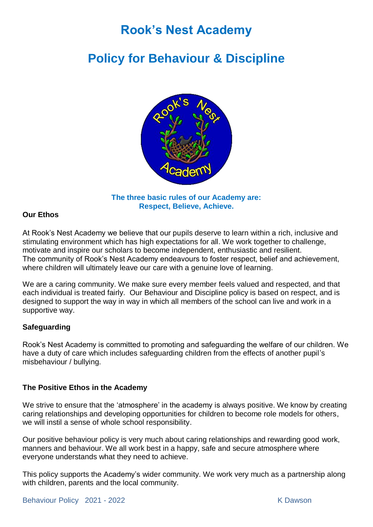# **Rook's Nest Academy**

# **Policy for Behaviour & Discipline**



**The three basic rules of our Academy are: Respect, Believe, Achieve.** 

### **Our Ethos**

At Rook's Nest Academy we believe that our pupils deserve to learn within a rich, inclusive and stimulating environment which has high expectations for all. We work together to challenge, motivate and inspire our scholars to become independent, enthusiastic and resilient. The community of Rook's Nest Academy endeavours to foster respect, belief and achievement, where children will ultimately leave our care with a genuine love of learning.

We are a caring community. We make sure every member feels valued and respected, and that each individual is treated fairly. Our Behaviour and Discipline policy is based on respect, and is designed to support the way in way in which all members of the school can live and work in a supportive way.

### **Safeguarding**

Rook's Nest Academy is committed to promoting and safeguarding the welfare of our children. We have a duty of care which includes safeguarding children from the effects of another pupil's misbehaviour / bullying.

### **The Positive Ethos in the Academy**

We strive to ensure that the 'atmosphere' in the academy is always positive. We know by creating caring relationships and developing opportunities for children to become role models for others, we will instil a sense of whole school responsibility.

Our positive behaviour policy is very much about caring relationships and rewarding good work, manners and behaviour. We all work best in a happy, safe and secure atmosphere where everyone understands what they need to achieve.

This policy supports the Academy's wider community. We work very much as a partnership along with children, parents and the local community.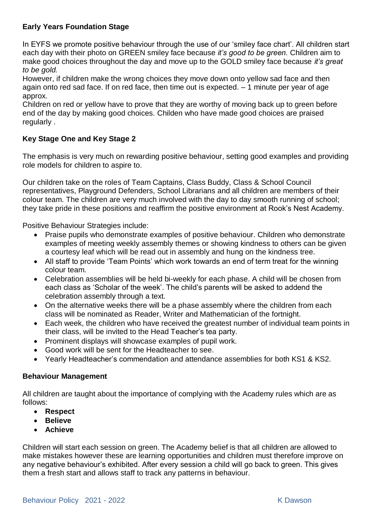## **Early Years Foundation Stage**

In EYFS we promote positive behaviour through the use of our 'smiley face chart'. All children start each day with their photo on GREEN smiley face because *it's good to be green.* Children aim to make good choices throughout the day and move up to the GOLD smiley face because *it's great to be gold.*

However, if children make the wrong choices they move down onto yellow sad face and then again onto red sad face. If on red face, then time out is expected. – 1 minute per year of age approx.

Children on red or yellow have to prove that they are worthy of moving back up to green before end of the day by making good choices. Childen who have made good choices are praised regularly .

# **Key Stage One and Key Stage 2**

The emphasis is very much on rewarding positive behaviour, setting good examples and providing role models for children to aspire to.

Our children take on the roles of Team Captains, Class Buddy, Class & School Council representatives, Playground Defenders, School Librarians and all children are members of their colour team. The children are very much involved with the day to day smooth running of school; they take pride in these positions and reaffirm the positive environment at Rook's Nest Academy.

Positive Behaviour Strategies include:

- Praise pupils who demonstrate examples of positive behaviour. Children who demonstrate examples of meeting weekly assembly themes or showing kindness to others can be given a courtesy leaf which will be read out in assembly and hung on the kindness tree.
- All staff to provide 'Team Points' which work towards an end of term treat for the winning colour team.
- Celebration assemblies will be held bi-weekly for each phase. A child will be chosen from each class as 'Scholar of the week'. The child's parents will be asked to addend the celebration assembly through a text.
- On the alternative weeks there will be a phase assembly where the children from each class will be nominated as Reader, Writer and Mathematician of the fortnight.
- Each week, the children who have received the greatest number of individual team points in their class, will be invited to the Head Teacher's tea party.
- Prominent displays will showcase examples of pupil work.
- Good work will be sent for the Headteacher to see.
- Yearly Headteacher's commendation and attendance assemblies for both KS1 & KS2.

#### **Behaviour Management**

All children are taught about the importance of complying with the Academy rules which are as follows:

- **Respect**
- **Believe**
- **Achieve**

Children will start each session on green. The Academy belief is that all children are allowed to make mistakes however these are learning opportunities and children must therefore improve on any negative behaviour's exhibited. After every session a child will go back to green. This gives them a fresh start and allows staff to track any patterns in behaviour.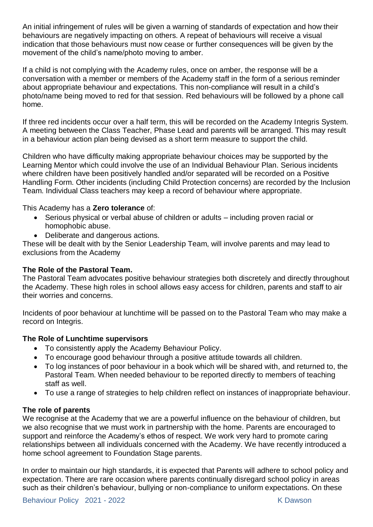An initial infringement of rules will be given a warning of standards of expectation and how their behaviours are negatively impacting on others. A repeat of behaviours will receive a visual indication that those behaviours must now cease or further consequences will be given by the movement of the child's name/photo moving to amber.

If a child is not complying with the Academy rules, once on amber, the response will be a conversation with a member or members of the Academy staff in the form of a serious reminder about appropriate behaviour and expectations. This non-compliance will result in a child's photo/name being moved to red for that session. Red behaviours will be followed by a phone call home.

If three red incidents occur over a half term, this will be recorded on the Academy Integris System. A meeting between the Class Teacher, Phase Lead and parents will be arranged. This may result in a behaviour action plan being devised as a short term measure to support the child.

Children who have difficulty making appropriate behaviour choices may be supported by the Learning Mentor which could involve the use of an Individual Behaviour Plan. Serious incidents where children have been positively handled and/or separated will be recorded on a Positive Handling Form. Other incidents (including Child Protection concerns) are recorded by the Inclusion Team. Individual Class teachers may keep a record of behaviour where appropriate.

This Academy has a **Zero tolerance** of:

- Serious physical or verbal abuse of children or adults including proven racial or homophobic abuse.
- Deliberate and dangerous actions.

These will be dealt with by the Senior Leadership Team, will involve parents and may lead to exclusions from the Academy

# **The Role of the Pastoral Team.**

The Pastoral Team advocates positive behaviour strategies both discretely and directly throughout the Academy. These high roles in school allows easy access for children, parents and staff to air their worries and concerns.

Incidents of poor behaviour at lunchtime will be passed on to the Pastoral Team who may make a record on Integris.

# **The Role of Lunchtime supervisors**

- To consistently apply the Academy Behaviour Policy.
- To encourage good behaviour through a positive attitude towards all children.
- To log instances of poor behaviour in a book which will be shared with, and returned to, the Pastoral Team. When needed behaviour to be reported directly to members of teaching staff as well.
- To use a range of strategies to help children reflect on instances of inappropriate behaviour.

### **The role of parents**

We recognise at the Academy that we are a powerful influence on the behaviour of children, but we also recognise that we must work in partnership with the home. Parents are encouraged to support and reinforce the Academy's ethos of respect. We work very hard to promote caring relationships between all individuals concerned with the Academy. We have recently introduced a home school agreement to Foundation Stage parents.

In order to maintain our high standards, it is expected that Parents will adhere to school policy and expectation. There are rare occasion where parents continually disregard school policy in areas such as their children's behaviour, bullying or non-compliance to uniform expectations. On these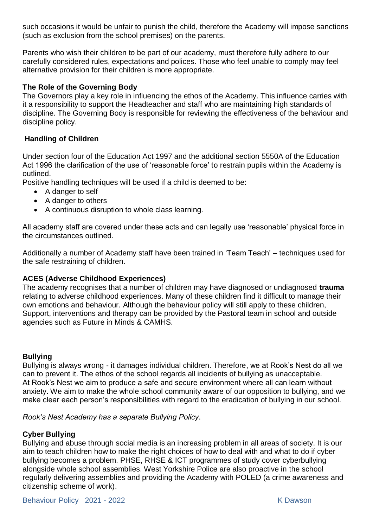such occasions it would be unfair to punish the child, therefore the Academy will impose sanctions (such as exclusion from the school premises) on the parents.

Parents who wish their children to be part of our academy, must therefore fully adhere to our carefully considered rules, expectations and polices. Those who feel unable to comply may feel alternative provision for their children is more appropriate.

## **The Role of the Governing Body**

The Governors play a key role in influencing the ethos of the Academy. This influence carries with it a responsibility to support the Headteacher and staff who are maintaining high standards of discipline. The Governing Body is responsible for reviewing the effectiveness of the behaviour and discipline policy.

# **Handling of Children**

Under section four of the Education Act 1997 and the additional section 5550A of the Education Act 1996 the clarification of the use of 'reasonable force' to restrain pupils within the Academy is outlined.

Positive handling techniques will be used if a child is deemed to be:

- A danger to self
- A danger to others
- A continuous disruption to whole class learning.

All academy staff are covered under these acts and can legally use 'reasonable' physical force in the circumstances outlined.

Additionally a number of Academy staff have been trained in 'Team Teach' – techniques used for the safe restraining of children.

### **ACES (Adverse Childhood Experiences)**

The academy recognises that a number of children may have diagnosed or undiagnosed **trauma** relating to adverse childhood experiences. Many of these children find it difficult to manage their own emotions and behaviour. Although the behaviour policy will still apply to these children, Support, interventions and therapy can be provided by the Pastoral team in school and outside agencies such as Future in Minds & CAMHS.

### **Bullying**

Bullying is always wrong - it damages individual children. Therefore, we at Rook's Nest do all we can to prevent it. The ethos of the school regards all incidents of bullying as unacceptable. At Rook's Nest we aim to produce a safe and secure environment where all can learn without anxiety. We aim to make the whole school community aware of our opposition to bullying, and we make clear each person's responsibilities with regard to the eradication of bullying in our school.

*Rook's Nest Academy has a separate Bullying Policy*.

# **Cyber Bullying**

Bullying and abuse through social media is an increasing problem in all areas of society. It is our aim to teach children how to make the right choices of how to deal with and what to do if cyber bullying becomes a problem. PHSE, RHSE & ICT programmes of study cover cyberbullying alongside whole school assemblies. West Yorkshire Police are also proactive in the school regularly delivering assemblies and providing the Academy with POLED (a crime awareness and citizenship scheme of work).

Behaviour Policy 2021 - 2022 K Dawson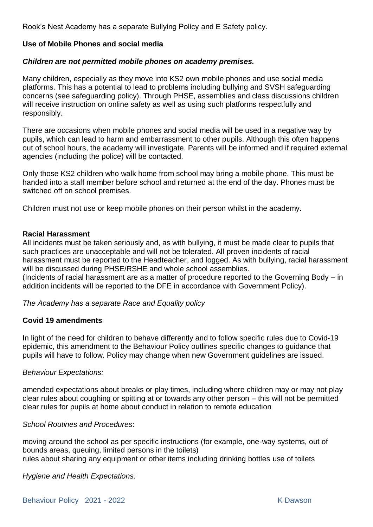Rook's Nest Academy has a separate Bullying Policy and E Safety policy.

## **Use of Mobile Phones and social media**

## *Children are not permitted mobile phones on academy premises.*

Many children, especially as they move into KS2 own mobile phones and use social media platforms. This has a potential to lead to problems including bullying and SVSH safeguarding concerns (see safeguarding policy). Through PHSE, assemblies and class discussions children will receive instruction on online safety as well as using such platforms respectfully and responsibly.

There are occasions when mobile phones and social media will be used in a negative way by pupils, which can lead to harm and embarrassment to other pupils. Although this often happens out of school hours, the academy will investigate. Parents will be informed and if required external agencies (including the police) will be contacted.

Only those KS2 children who walk home from school may bring a mobile phone. This must be handed into a staff member before school and returned at the end of the day. Phones must be switched off on school premises.

Children must not use or keep mobile phones on their person whilst in the academy.

#### **Racial Harassment**

All incidents must be taken seriously and, as with bullying, it must be made clear to pupils that such practices are unacceptable and will not be tolerated. All proven incidents of racial harassment must be reported to the Headteacher, and logged. As with bullying, racial harassment will be discussed during PHSE/RSHE and whole school assemblies.

(Incidents of racial harassment are as a matter of procedure reported to the Governing Body – in addition incidents will be reported to the DFE in accordance with Government Policy).

### *The Academy has a separate Race and Equality policy*

### **Covid 19 amendments**

In light of the need for children to behave differently and to follow specific rules due to Covid-19 epidemic, this amendment to the Behaviour Policy outlines specific changes to guidance that pupils will have to follow. Policy may change when new Government guidelines are issued.

#### *Behaviour Expectations:*

amended expectations about breaks or play times, including where children may or may not play clear rules about coughing or spitting at or towards any other person – this will not be permitted clear rules for pupils at home about conduct in relation to remote education

#### *School Routines and Procedures*:

moving around the school as per specific instructions (for example, one-way systems, out of bounds areas, queuing, limited persons in the toilets) rules about sharing any equipment or other items including drinking bottles use of toilets

*Hygiene and Health Expectations:*